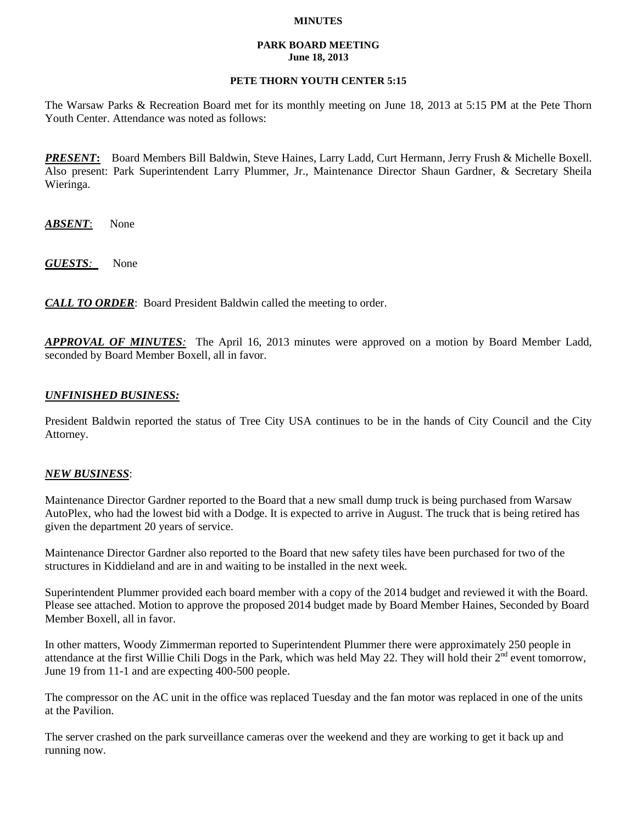### **MINUTES**

#### **PARK BOARD MEETING June 18, 2013**

## **PETE THORN YOUTH CENTER 5:15**

The Warsaw Parks & Recreation Board met for its monthly meeting on June 18, 2013 at 5:15 PM at the Pete Thorn Youth Center. Attendance was noted as follows:

*PRESENT***:** Board Members Bill Baldwin, Steve Haines, Larry Ladd, Curt Hermann, Jerry Frush & Michelle Boxell. Also present: Park Superintendent Larry Plummer, Jr., Maintenance Director Shaun Gardner, & Secretary Sheila Wieringa.

*ABSENT*: None

*GUESTS:*None

*CALL TO ORDER*: Board President Baldwin called the meeting to order.

*APPROVAL OF MINUTES:* The April 16, 2013 minutes were approved on a motion by Board Member Ladd, seconded by Board Member Boxell, all in favor.

# *UNFINISHED BUSINESS:*

President Baldwin reported the status of Tree City USA continues to be in the hands of City Council and the City Attorney.

### *NEW BUSINESS*:

Maintenance Director Gardner reported to the Board that a new small dump truck is being purchased from Warsaw AutoPlex, who had the lowest bid with a Dodge. It is expected to arrive in August. The truck that is being retired has given the department 20 years of service.

Maintenance Director Gardner also reported to the Board that new safety tiles have been purchased for two of the structures in Kiddieland and are in and waiting to be installed in the next week.

Superintendent Plummer provided each board member with a copy of the 2014 budget and reviewed it with the Board. Please see attached. Motion to approve the proposed 2014 budget made by Board Member Haines, Seconded by Board Member Boxell, all in favor.

In other matters, Woody Zimmerman reported to Superintendent Plummer there were approximately 250 people in attendance at the first Willie Chili Dogs in the Park, which was held May 22. They will hold their  $2<sup>nd</sup>$  event tomorrow, June 19 from 11-1 and are expecting 400-500 people.

The compressor on the AC unit in the office was replaced Tuesday and the fan motor was replaced in one of the units at the Pavilion.

The server crashed on the park surveillance cameras over the weekend and they are working to get it back up and running now.